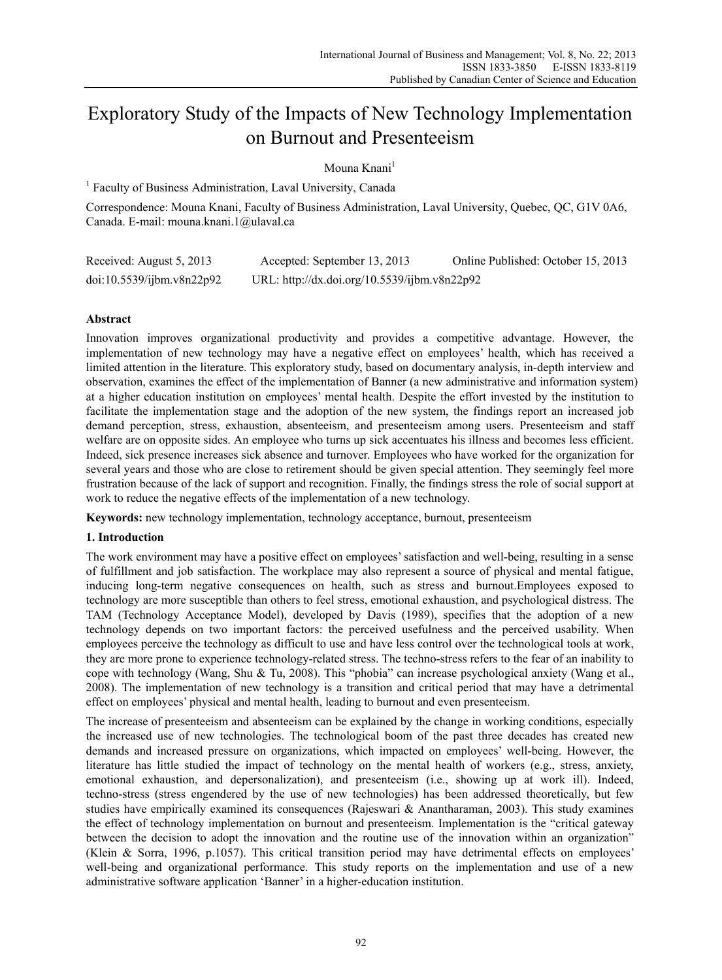# Exploratory Study of the Impacts of New Technology Implementation on Burnout and Presenteeism

# Mouna Knani<sup>1</sup>

<sup>1</sup> Faculty of Business Administration, Laval University, Canada

Correspondence: Mouna Knani, Faculty of Business Administration, Laval University, Quebec, QC, G1V 0A6, Canada. E-mail: mouna.knani.1@ulaval.ca

| Received: August 5, 2013  | Accepted: September 13, 2013                 | Online Published: October 15, 2013 |
|---------------------------|----------------------------------------------|------------------------------------|
| doi:10.5539/ijbm.v8n22p92 | URL: http://dx.doi.org/10.5539/ijbm.v8n22p92 |                                    |

## **Abstract**

Innovation improves organizational productivity and provides a competitive advantage. However, the implementation of new technology may have a negative effect on employees' health, which has received a limited attention in the literature. This exploratory study, based on documentary analysis, in-depth interview and observation, examines the effect of the implementation of Banner (a new administrative and information system) at a higher education institution on employees' mental health. Despite the effort invested by the institution to facilitate the implementation stage and the adoption of the new system, the findings report an increased job demand perception, stress, exhaustion, absenteeism, and presenteeism among users. Presenteeism and staff welfare are on opposite sides. An employee who turns up sick accentuates his illness and becomes less efficient. Indeed, sick presence increases sick absence and turnover. Employees who have worked for the organization for several years and those who are close to retirement should be given special attention. They seemingly feel more frustration because of the lack of support and recognition. Finally, the findings stress the role of social support at work to reduce the negative effects of the implementation of a new technology.

**Keywords:** new technology implementation, technology acceptance, burnout, presenteeism

### **1. Introduction**

The work environment may have a positive effect on employees' satisfaction and well-being, resulting in a sense of fulfillment and job satisfaction. The workplace may also represent a source of physical and mental fatigue, inducing long-term negative consequences on health, such as stress and burnout.Employees exposed to technology are more susceptible than others to feel stress, emotional exhaustion, and psychological distress. The TAM (Technology Acceptance Model), developed by Davis (1989), specifies that the adoption of a new technology depends on two important factors: the perceived usefulness and the perceived usability. When employees perceive the technology as difficult to use and have less control over the technological tools at work, they are more prone to experience technology-related stress. The techno-stress refers to the fear of an inability to cope with technology (Wang, Shu & Tu, 2008). This "phobia" can increase psychological anxiety (Wang et al., 2008). The implementation of new technology is a transition and critical period that may have a detrimental effect on employees' physical and mental health, leading to burnout and even presenteeism.

The increase of presenteeism and absenteeism can be explained by the change in working conditions, especially the increased use of new technologies. The technological boom of the past three decades has created new demands and increased pressure on organizations, which impacted on employees' well-being. However, the literature has little studied the impact of technology on the mental health of workers (e.g., stress, anxiety, emotional exhaustion, and depersonalization), and presenteeism (i.e., showing up at work ill). Indeed, techno-stress (stress engendered by the use of new technologies) has been addressed theoretically, but few studies have empirically examined its consequences (Rajeswari & Anantharaman, 2003). This study examines the effect of technology implementation on burnout and presenteeism. Implementation is the "critical gateway between the decision to adopt the innovation and the routine use of the innovation within an organization" (Klein & Sorra, 1996, p.1057). This critical transition period may have detrimental effects on employees' well-being and organizational performance. This study reports on the implementation and use of a new administrative software application 'Banner' in a higher-education institution.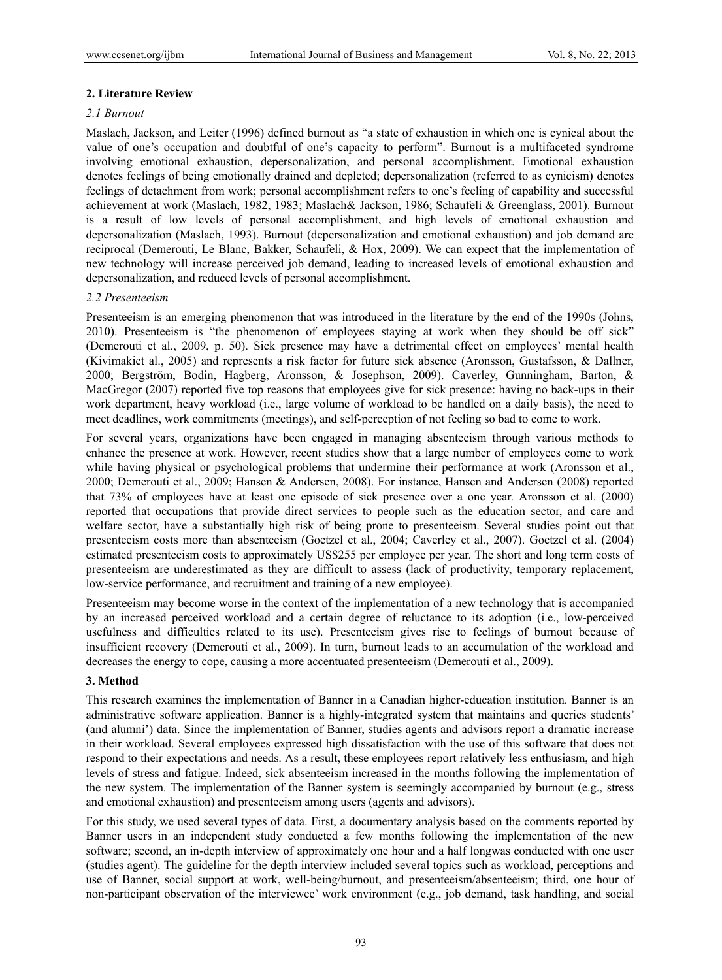## **2. Literature Review**

### *2.1 Burnout*

Maslach, Jackson, and Leiter (1996) defined burnout as "a state of exhaustion in which one is cynical about the value of one's occupation and doubtful of one's capacity to perform". Burnout is a multifaceted syndrome involving emotional exhaustion, depersonalization, and personal accomplishment. Emotional exhaustion denotes feelings of being emotionally drained and depleted; depersonalization (referred to as cynicism) denotes feelings of detachment from work; personal accomplishment refers to one's feeling of capability and successful achievement at work (Maslach, 1982, 1983; Maslach& Jackson, 1986; Schaufeli & Greenglass, 2001). Burnout is a result of low levels of personal accomplishment, and high levels of emotional exhaustion and depersonalization (Maslach, 1993). Burnout (depersonalization and emotional exhaustion) and job demand are reciprocal (Demerouti, Le Blanc, Bakker, Schaufeli, & Hox, 2009). We can expect that the implementation of new technology will increase perceived job demand, leading to increased levels of emotional exhaustion and depersonalization, and reduced levels of personal accomplishment.

### *2.2 Presenteeism*

Presenteeism is an emerging phenomenon that was introduced in the literature by the end of the 1990s (Johns, 2010). Presenteeism is "the phenomenon of employees staying at work when they should be off sick" (Demerouti et al., 2009, p. 50). Sick presence may have a detrimental effect on employees' mental health (Kivimakiet al., 2005) and represents a risk factor for future sick absence (Aronsson, Gustafsson, & Dallner, 2000; Bergström, Bodin, Hagberg, Aronsson, & Josephson, 2009). Caverley, Gunningham, Barton, & MacGregor (2007) reported five top reasons that employees give for sick presence: having no back-ups in their work department, heavy workload (i.e., large volume of workload to be handled on a daily basis), the need to meet deadlines, work commitments (meetings), and self-perception of not feeling so bad to come to work.

For several years, organizations have been engaged in managing absenteeism through various methods to enhance the presence at work. However, recent studies show that a large number of employees come to work while having physical or psychological problems that undermine their performance at work (Aronsson et al., 2000; Demerouti et al., 2009; Hansen & Andersen, 2008). For instance, Hansen and Andersen (2008) reported that 73% of employees have at least one episode of sick presence over a one year. Aronsson et al. (2000) reported that occupations that provide direct services to people such as the education sector, and care and welfare sector, have a substantially high risk of being prone to presenteeism. Several studies point out that presenteeism costs more than absenteeism (Goetzel et al., 2004; Caverley et al., 2007). Goetzel et al. (2004) estimated presenteeism costs to approximately US\$255 per employee per year. The short and long term costs of presenteeism are underestimated as they are difficult to assess (lack of productivity, temporary replacement, low-service performance, and recruitment and training of a new employee).

Presenteeism may become worse in the context of the implementation of a new technology that is accompanied by an increased perceived workload and a certain degree of reluctance to its adoption (i.e., low-perceived usefulness and difficulties related to its use). Presenteeism gives rise to feelings of burnout because of insufficient recovery (Demerouti et al., 2009). In turn, burnout leads to an accumulation of the workload and decreases the energy to cope, causing a more accentuated presenteeism (Demerouti et al., 2009).

### **3. Method**

This research examines the implementation of Banner in a Canadian higher-education institution. Banner is an administrative software application. Banner is a highly-integrated system that maintains and queries students' (and alumni') data. Since the implementation of Banner, studies agents and advisors report a dramatic increase in their workload. Several employees expressed high dissatisfaction with the use of this software that does not respond to their expectations and needs. As a result, these employees report relatively less enthusiasm, and high levels of stress and fatigue. Indeed, sick absenteeism increased in the months following the implementation of the new system. The implementation of the Banner system is seemingly accompanied by burnout (e.g., stress and emotional exhaustion) and presenteeism among users (agents and advisors).

For this study, we used several types of data. First, a documentary analysis based on the comments reported by Banner users in an independent study conducted a few months following the implementation of the new software; second, an in-depth interview of approximately one hour and a half longwas conducted with one user (studies agent). The guideline for the depth interview included several topics such as workload, perceptions and use of Banner, social support at work, well-being/burnout, and presenteeism/absenteeism; third, one hour of non-participant observation of the interviewee' work environment (e.g., job demand, task handling, and social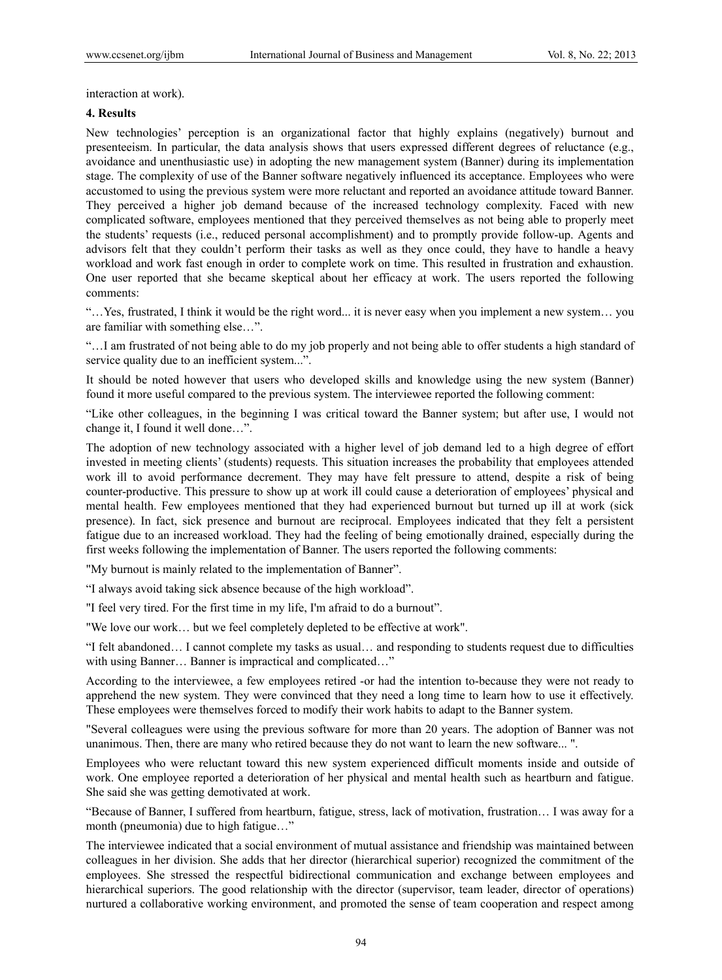interaction at work).

#### **4. Results**

New technologies' perception is an organizational factor that highly explains (negatively) burnout and presenteeism. In particular, the data analysis shows that users expressed different degrees of reluctance (e.g., avoidance and unenthusiastic use) in adopting the new management system (Banner) during its implementation stage. The complexity of use of the Banner software negatively influenced its acceptance. Employees who were accustomed to using the previous system were more reluctant and reported an avoidance attitude toward Banner. They perceived a higher job demand because of the increased technology complexity. Faced with new complicated software, employees mentioned that they perceived themselves as not being able to properly meet the students' requests (i.e., reduced personal accomplishment) and to promptly provide follow-up. Agents and advisors felt that they couldn't perform their tasks as well as they once could, they have to handle a heavy workload and work fast enough in order to complete work on time. This resulted in frustration and exhaustion. One user reported that she became skeptical about her efficacy at work. The users reported the following comments:

"…Yes, frustrated, I think it would be the right word... it is never easy when you implement a new system… you are familiar with something else…".

"…I am frustrated of not being able to do my job properly and not being able to offer students a high standard of service quality due to an inefficient system...".

It should be noted however that users who developed skills and knowledge using the new system (Banner) found it more useful compared to the previous system. The interviewee reported the following comment:

"Like other colleagues, in the beginning I was critical toward the Banner system; but after use, I would not change it, I found it well done…".

The adoption of new technology associated with a higher level of job demand led to a high degree of effort invested in meeting clients' (students) requests. This situation increases the probability that employees attended work ill to avoid performance decrement. They may have felt pressure to attend, despite a risk of being counter-productive. This pressure to show up at work ill could cause a deterioration of employees' physical and mental health. Few employees mentioned that they had experienced burnout but turned up ill at work (sick presence). In fact, sick presence and burnout are reciprocal. Employees indicated that they felt a persistent fatigue due to an increased workload. They had the feeling of being emotionally drained, especially during the first weeks following the implementation of Banner. The users reported the following comments:

"My burnout is mainly related to the implementation of Banner".

"I always avoid taking sick absence because of the high workload".

"I feel very tired. For the first time in my life, I'm afraid to do a burnout".

"We love our work… but we feel completely depleted to be effective at work".

"I felt abandoned… I cannot complete my tasks as usual… and responding to students request due to difficulties with using Banner… Banner is impractical and complicated…"

According to the interviewee, a few employees retired -or had the intention to-because they were not ready to apprehend the new system. They were convinced that they need a long time to learn how to use it effectively. These employees were themselves forced to modify their work habits to adapt to the Banner system.

"Several colleagues were using the previous software for more than 20 years. The adoption of Banner was not unanimous. Then, there are many who retired because they do not want to learn the new software... ".

Employees who were reluctant toward this new system experienced difficult moments inside and outside of work. One employee reported a deterioration of her physical and mental health such as heartburn and fatigue. She said she was getting demotivated at work.

"Because of Banner, I suffered from heartburn, fatigue, stress, lack of motivation, frustration… I was away for a month (pneumonia) due to high fatigue…"

The interviewee indicated that a social environment of mutual assistance and friendship was maintained between colleagues in her division. She adds that her director (hierarchical superior) recognized the commitment of the employees. She stressed the respectful bidirectional communication and exchange between employees and hierarchical superiors. The good relationship with the director (supervisor, team leader, director of operations) nurtured a collaborative working environment, and promoted the sense of team cooperation and respect among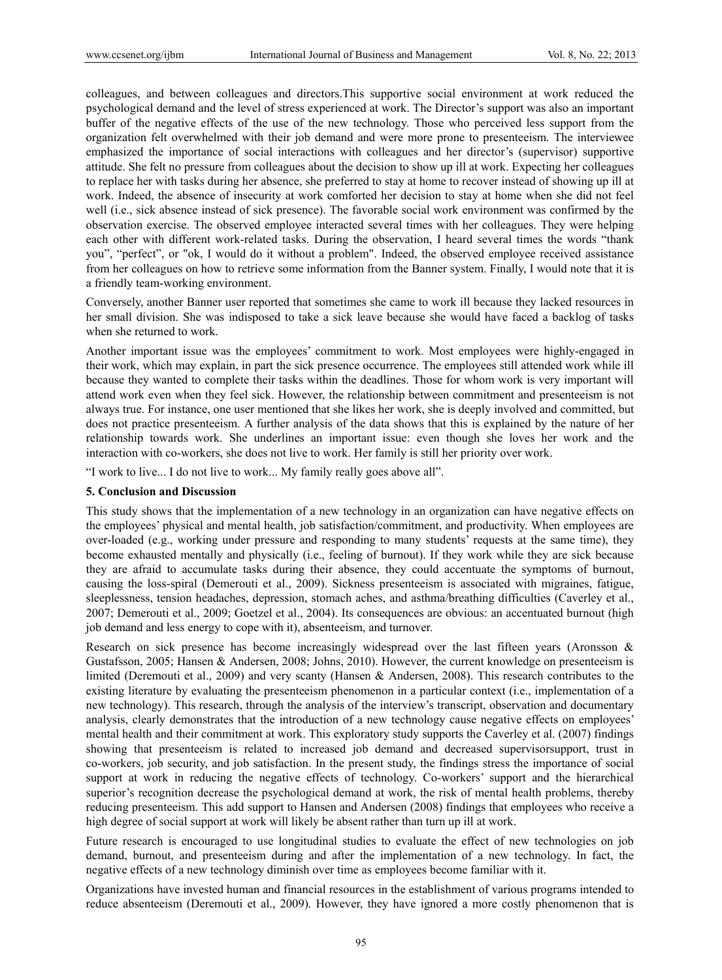colleagues, and between colleagues and directors.This supportive social environment at work reduced the psychological demand and the level of stress experienced at work. The Director's support was also an important buffer of the negative effects of the use of the new technology. Those who perceived less support from the organization felt overwhelmed with their job demand and were more prone to presenteeism. The interviewee emphasized the importance of social interactions with colleagues and her director's (supervisor) supportive attitude. She felt no pressure from colleagues about the decision to show up ill at work. Expecting her colleagues to replace her with tasks during her absence, she preferred to stay at home to recover instead of showing up ill at work. Indeed, the absence of insecurity at work comforted her decision to stay at home when she did not feel well (i.e., sick absence instead of sick presence). The favorable social work environment was confirmed by the observation exercise. The observed employee interacted several times with her colleagues. They were helping each other with different work-related tasks. During the observation, I heard several times the words "thank you", "perfect", or "ok, I would do it without a problem". Indeed, the observed employee received assistance from her colleagues on how to retrieve some information from the Banner system. Finally, I would note that it is a friendly team-working environment.

Conversely, another Banner user reported that sometimes she came to work ill because they lacked resources in her small division. She was indisposed to take a sick leave because she would have faced a backlog of tasks when she returned to work.

Another important issue was the employees' commitment to work. Most employees were highly-engaged in their work, which may explain, in part the sick presence occurrence. The employees still attended work while ill because they wanted to complete their tasks within the deadlines. Those for whom work is very important will attend work even when they feel sick. However, the relationship between commitment and presenteeism is not always true. For instance, one user mentioned that she likes her work, she is deeply involved and committed, but does not practice presenteeism. A further analysis of the data shows that this is explained by the nature of her relationship towards work. She underlines an important issue: even though she loves her work and the interaction with co-workers, she does not live to work. Her family is still her priority over work.

"I work to live... I do not live to work... My family really goes above all".

#### **5. Conclusion and Discussion**

This study shows that the implementation of a new technology in an organization can have negative effects on the employees' physical and mental health, job satisfaction/commitment, and productivity. When employees are over-loaded (e.g., working under pressure and responding to many students' requests at the same time), they become exhausted mentally and physically (i.e., feeling of burnout). If they work while they are sick because they are afraid to accumulate tasks during their absence, they could accentuate the symptoms of burnout, causing the loss-spiral (Demerouti et al., 2009). Sickness presenteeism is associated with migraines, fatigue, sleeplessness, tension headaches, depression, stomach aches, and asthma/breathing difficulties (Caverley et al., 2007; Demerouti et al., 2009; Goetzel et al., 2004). Its consequences are obvious: an accentuated burnout (high job demand and less energy to cope with it), absenteeism, and turnover.

Research on sick presence has become increasingly widespread over the last fifteen years (Aronsson & Gustafsson, 2005; Hansen & Andersen, 2008; Johns, 2010). However, the current knowledge on presenteeism is limited (Deremouti et al., 2009) and very scanty (Hansen & Andersen, 2008). This research contributes to the existing literature by evaluating the presenteeism phenomenon in a particular context (i.e., implementation of a new technology). This research, through the analysis of the interview's transcript, observation and documentary analysis, clearly demonstrates that the introduction of a new technology cause negative effects on employees' mental health and their commitment at work. This exploratory study supports the Caverley et al. (2007) findings showing that presenteeism is related to increased job demand and decreased supervisorsupport, trust in co-workers, job security, and job satisfaction. In the present study, the findings stress the importance of social support at work in reducing the negative effects of technology. Co-workers' support and the hierarchical superior's recognition decrease the psychological demand at work, the risk of mental health problems, thereby reducing presenteeism. This add support to Hansen and Andersen (2008) findings that employees who receive a high degree of social support at work will likely be absent rather than turn up ill at work.

Future research is encouraged to use longitudinal studies to evaluate the effect of new technologies on job demand, burnout, and presenteeism during and after the implementation of a new technology. In fact, the negative effects of a new technology diminish over time as employees become familiar with it.

Organizations have invested human and financial resources in the establishment of various programs intended to reduce absenteeism (Deremouti et al., 2009). However, they have ignored a more costly phenomenon that is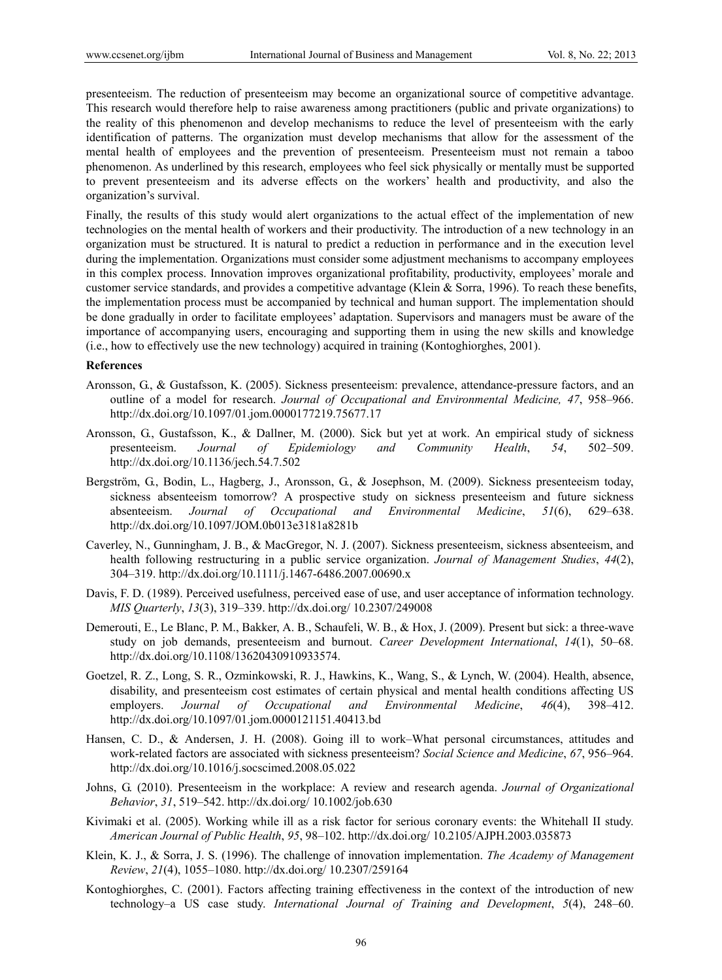presenteeism. The reduction of presenteeism may become an organizational source of competitive advantage. This research would therefore help to raise awareness among practitioners (public and private organizations) to the reality of this phenomenon and develop mechanisms to reduce the level of presenteeism with the early identification of patterns. The organization must develop mechanisms that allow for the assessment of the mental health of employees and the prevention of presenteeism. Presenteeism must not remain a taboo phenomenon. As underlined by this research, employees who feel sick physically or mentally must be supported to prevent presenteeism and its adverse effects on the workers' health and productivity, and also the organization's survival.

Finally, the results of this study would alert organizations to the actual effect of the implementation of new technologies on the mental health of workers and their productivity. The introduction of a new technology in an organization must be structured. It is natural to predict a reduction in performance and in the execution level during the implementation. Organizations must consider some adjustment mechanisms to accompany employees in this complex process. Innovation improves organizational profitability, productivity, employees' morale and customer service standards, and provides a competitive advantage (Klein & Sorra, 1996). To reach these benefits, the implementation process must be accompanied by technical and human support. The implementation should be done gradually in order to facilitate employees' adaptation. Supervisors and managers must be aware of the importance of accompanying users, encouraging and supporting them in using the new skills and knowledge (i.e., how to effectively use the new technology) acquired in training (Kontoghiorghes, 2001).

#### **References**

- Aronsson, G., & Gustafsson, K. (2005). Sickness presenteeism: prevalence, attendance-pressure factors, and an outline of a model for research. *Journal of Occupational and Environmental Medicine, 47*, 958–966. http://dx.doi.org/10.1097/01.jom.0000177219.75677.17
- Aronsson, G., Gustafsson, K., & Dallner, M. (2000). Sick but yet at work. An empirical study of sickness presenteeism. *Journal of Epidemiology and Community Health*, *54*, 502–509. http://dx.doi.org/10.1136/jech.54.7.502
- Bergström, G., Bodin, L., Hagberg, J., Aronsson, G., & Josephson, M. (2009). Sickness presenteeism today, sickness absenteeism tomorrow? A prospective study on sickness presenteeism and future sickness absenteeism. *Journal of Occupational and Environmental Medicine*, *51*(6), 629–638. http://dx.doi.org/10.1097/JOM.0b013e3181a8281b
- Caverley, N., Gunningham, J. B., & MacGregor, N. J. (2007). Sickness presenteeism, sickness absenteeism, and health following restructuring in a public service organization. *Journal of Management Studies*, *44*(2), 304–319. http://dx.doi.org/10.1111/j.1467-6486.2007.00690.x
- Davis, F. D. (1989). Perceived usefulness, perceived ease of use, and user acceptance of information technology. *MIS Quarterly*, *13*(3), 319–339. http://dx.doi.org/ 10.2307/249008
- Demerouti, E., Le Blanc, P. M., Bakker, A. B., Schaufeli, W. B., & Hox, J. (2009). Present but sick: a three-wave study on job demands, presenteeism and burnout. *Career Development International*, *14*(1), 50–68. http://dx.doi.org/10.1108/13620430910933574.
- Goetzel, R. Z., Long, S. R., Ozminkowski, R. J., Hawkins, K., Wang, S., & Lynch, W. (2004). Health, absence, disability, and presenteeism cost estimates of certain physical and mental health conditions affecting US employers. *Journal of Occupational and Environmental Medicine*, *46*(4), 398–412. http://dx.doi.org/10.1097/01.jom.0000121151.40413.bd
- Hansen, C. D., & Andersen, J. H. (2008). Going ill to work–What personal circumstances, attitudes and work-related factors are associated with sickness presenteeism? *Social Science and Medicine*, *67*, 956–964. http://dx.doi.org/10.1016/j.socscimed.2008.05.022
- Johns, G. (2010). Presenteeism in the workplace: A review and research agenda. *Journal of Organizational Behavior*, *31*, 519–542. http://dx.doi.org/ 10.1002/job.630
- Kivimaki et al. (2005). Working while ill as a risk factor for serious coronary events: the Whitehall II study. *American Journal of Public Health*, *95*, 98–102. http://dx.doi.org/ 10.2105/AJPH.2003.035873
- Klein, K. J., & Sorra, J. S. (1996). The challenge of innovation implementation. *The Academy of Management Review*, *21*(4), 1055–1080. http://dx.doi.org/ 10.2307/259164
- Kontoghiorghes, C. (2001). Factors affecting training effectiveness in the context of the introduction of new technology–a US case study. *International Journal of Training and Development*, *5*(4), 248–60.